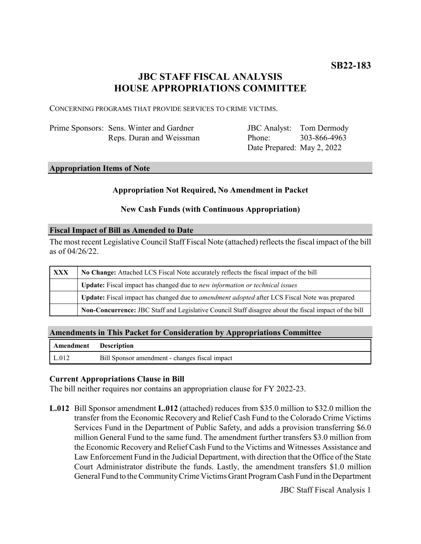# **JBC STAFF FISCAL ANALYSIS HOUSE APPROPRIATIONS COMMITTEE**

CONCERNING PROGRAMS THAT PROVIDE SERVICES TO CRIME VICTIMS.

| Prime Sponsors: Sens. Winter and Gardner |
|------------------------------------------|
| Reps. Duran and Weissman                 |

JBC Analyst: Phone: Date Prepared: May 2, 2022 Tom Dermody 303-866-4963

#### **Appropriation Items of Note**

#### **Appropriation Not Required, No Amendment in Packet**

### **New Cash Funds (with Continuous Appropriation)**

#### **Fiscal Impact of Bill as Amended to Date**

The most recent Legislative Council Staff Fiscal Note (attached) reflects the fiscal impact of the bill as of 04/26/22.

| <b>XXX</b> | No Change: Attached LCS Fiscal Note accurately reflects the fiscal impact of the bill                       |  |
|------------|-------------------------------------------------------------------------------------------------------------|--|
|            | Update: Fiscal impact has changed due to new information or technical issues                                |  |
|            | <b>Update:</b> Fiscal impact has changed due to <i>amendment adopted</i> after LCS Fiscal Note was prepared |  |
|            | Non-Concurrence: JBC Staff and Legislative Council Staff disagree about the fiscal impact of the bill       |  |

#### **Amendments in This Packet for Consideration by Appropriations Committee**

| Amendment Description |                                                |
|-----------------------|------------------------------------------------|
| L.012                 | Bill Sponsor amendment - changes fiscal impact |

#### **Current Appropriations Clause in Bill**

The bill neither requires nor contains an appropriation clause for FY 2022-23.

**L.012** Bill Sponsor amendment **L.012** (attached) reduces from \$35.0 million to \$32.0 million the transfer from the Economic Recovery and Relief Cash Fund to the Colorado Crime Victims Services Fund in the Department of Public Safety, and adds a provision transferring \$6.0 million General Fund to the same fund. The amendment further transfers \$3.0 million from the Economic Recovery and Relief Cash Fund to the Victims and Witnesses Assistance and Law Enforcement Fund in the Judicial Department, with direction that the Office of the State Court Administrator distribute the funds. Lastly, the amendment transfers \$1.0 million General Fund to the Community Crime Victims Grant Program Cash Fund in the Department

JBC Staff Fiscal Analysis 1